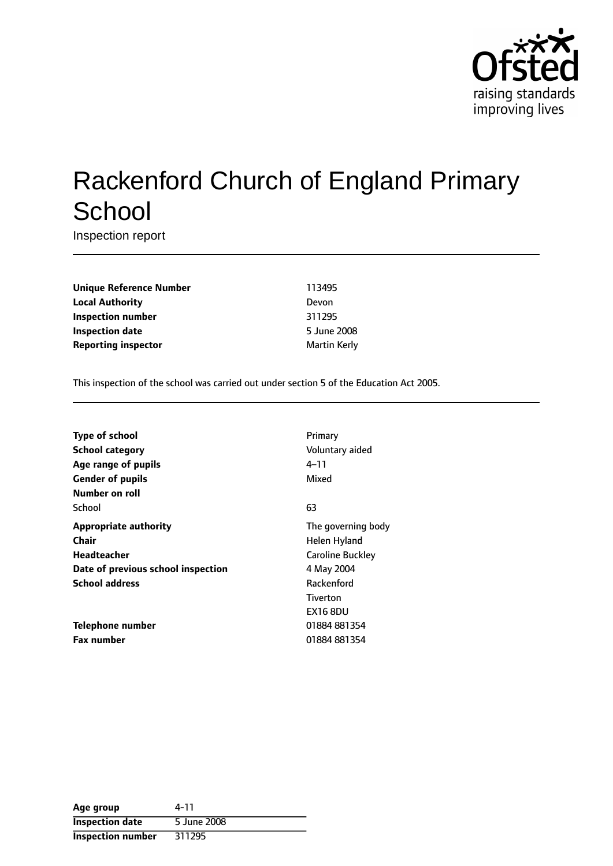

# Rackenford Church of England Primary **School**

Inspection report

**Unique Reference Number** 113495 **Local Authority** Devon **Inspection number** 311295 **Inspection date** 5 June 2008 **Reporting inspector** and **a matter of the Martin Kerly** 

This inspection of the school was carried out under section 5 of the Education Act 2005.

| <b>Type of school</b>              | Primary                 |
|------------------------------------|-------------------------|
| School category                    | Voluntary aided         |
| Age range of pupils                | 4–11                    |
| <b>Gender of pupils</b>            | Mixed                   |
| Number on roll                     |                         |
| School                             | 63                      |
| <b>Appropriate authority</b>       | The governing body      |
| Chair                              | Helen Hyland            |
| <b>Headteacher</b>                 | <b>Caroline Buckley</b> |
| Date of previous school inspection | 4 May 2004              |
| <b>School address</b>              | Rackenford              |
|                                    | Tiverton                |
|                                    | <b>EX16 8DU</b>         |
| Telephone number                   | 01884 881354            |
| <b>Fax number</b>                  | 01884 881354            |

| Age group                | 4-11        |
|--------------------------|-------------|
| <b>Inspection date</b>   | 5 June 2008 |
| <b>Inspection number</b> | 311295      |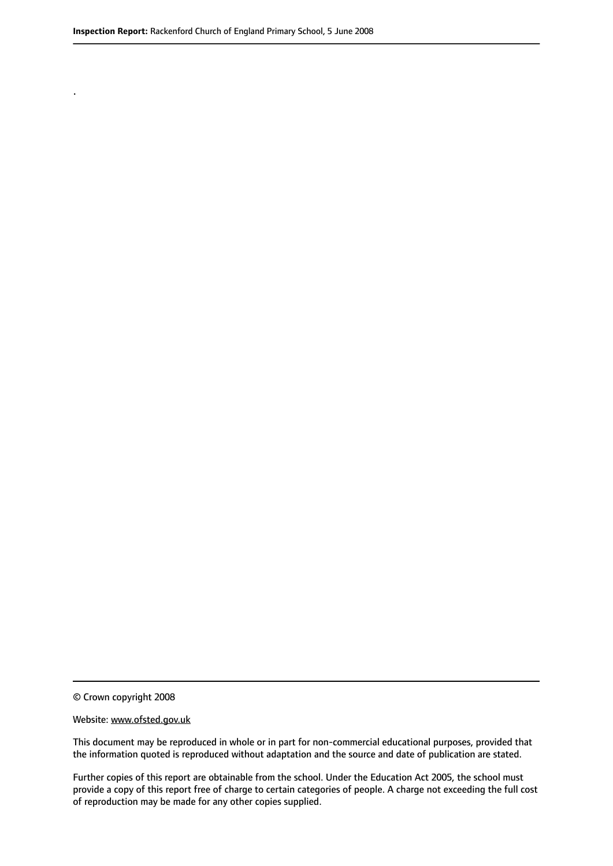.

© Crown copyright 2008

#### Website: www.ofsted.gov.uk

This document may be reproduced in whole or in part for non-commercial educational purposes, provided that the information quoted is reproduced without adaptation and the source and date of publication are stated.

Further copies of this report are obtainable from the school. Under the Education Act 2005, the school must provide a copy of this report free of charge to certain categories of people. A charge not exceeding the full cost of reproduction may be made for any other copies supplied.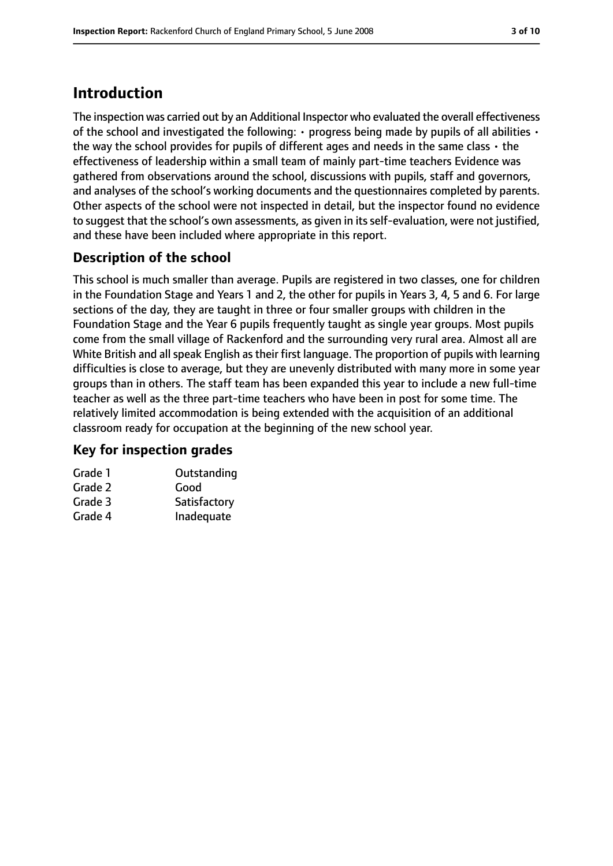# **Introduction**

The inspection was carried out by an Additional Inspector who evaluated the overall effectiveness of the school and investigated the following:  $\cdot$  progress being made by pupils of all abilities  $\cdot$ the way the school provides for pupils of different ages and needs in the same class  $\cdot$  the effectiveness of leadership within a small team of mainly part-time teachers Evidence was gathered from observations around the school, discussions with pupils, staff and governors, and analyses of the school's working documents and the questionnaires completed by parents. Other aspects of the school were not inspected in detail, but the inspector found no evidence to suggest that the school's own assessments, as given in its self-evaluation, were not justified, and these have been included where appropriate in this report.

## **Description of the school**

This school is much smaller than average. Pupils are registered in two classes, one for children in the Foundation Stage and Years 1 and 2, the other for pupils in Years 3, 4, 5 and 6. For large sections of the day, they are taught in three or four smaller groups with children in the Foundation Stage and the Year 6 pupils frequently taught as single year groups. Most pupils come from the small village of Rackenford and the surrounding very rural area. Almost all are White British and all speak English as their first language. The proportion of pupils with learning difficulties is close to average, but they are unevenly distributed with many more in some year groups than in others. The staff team has been expanded this year to include a new full-time teacher as well as the three part-time teachers who have been in post for some time. The relatively limited accommodation is being extended with the acquisition of an additional classroom ready for occupation at the beginning of the new school year.

#### **Key for inspection grades**

| Grade 1 | Outstanding  |
|---------|--------------|
| Grade 2 | Good         |
| Grade 3 | Satisfactory |
| Grade 4 | Inadequate   |
|         |              |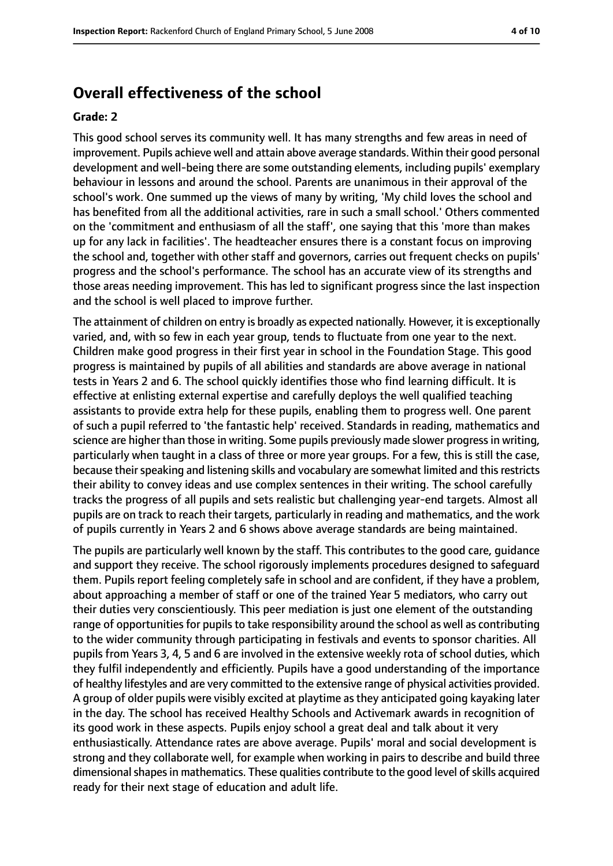### **Overall effectiveness of the school**

#### **Grade: 2**

This good school serves its community well. It has many strengths and few areas in need of improvement. Pupils achieve well and attain above average standards. Within their good personal development and well-being there are some outstanding elements, including pupils' exemplary behaviour in lessons and around the school. Parents are unanimous in their approval of the school's work. One summed up the views of many by writing, 'My child loves the school and has benefited from all the additional activities, rare in such a small school.' Others commented on the 'commitment and enthusiasm of all the staff', one saying that this 'more than makes up for any lack in facilities'. The headteacher ensures there is a constant focus on improving the school and, together with other staff and governors, carries out frequent checks on pupils' progress and the school's performance. The school has an accurate view of its strengths and those areas needing improvement. This has led to significant progress since the last inspection and the school is well placed to improve further.

The attainment of children on entry is broadly as expected nationally. However, it is exceptionally varied, and, with so few in each year group, tends to fluctuate from one year to the next. Children make good progress in their first year in school in the Foundation Stage. This good progress is maintained by pupils of all abilities and standards are above average in national tests in Years 2 and 6. The school quickly identifies those who find learning difficult. It is effective at enlisting external expertise and carefully deploys the well qualified teaching assistants to provide extra help for these pupils, enabling them to progress well. One parent of such a pupil referred to 'the fantastic help' received. Standards in reading, mathematics and science are higher than those in writing. Some pupils previously made slower progress in writing, particularly when taught in a class of three or more year groups. For a few, this is still the case, because their speaking and listening skills and vocabulary are somewhat limited and this restricts their ability to convey ideas and use complex sentences in their writing. The school carefully tracks the progress of all pupils and sets realistic but challenging year-end targets. Almost all pupils are on track to reach their targets, particularly in reading and mathematics, and the work of pupils currently in Years 2 and 6 shows above average standards are being maintained.

The pupils are particularly well known by the staff. This contributes to the good care, guidance and support they receive. The school rigorously implements procedures designed to safeguard them. Pupils report feeling completely safe in school and are confident, if they have a problem, about approaching a member of staff or one of the trained Year 5 mediators, who carry out their duties very conscientiously. This peer mediation is just one element of the outstanding range of opportunities for pupils to take responsibility around the school as well as contributing to the wider community through participating in festivals and events to sponsor charities. All pupils from Years 3, 4, 5 and 6 are involved in the extensive weekly rota of school duties, which they fulfil independently and efficiently. Pupils have a good understanding of the importance of healthy lifestyles and are very committed to the extensive range of physical activities provided. A group of older pupils were visibly excited at playtime as they anticipated going kayaking later in the day. The school has received Healthy Schools and Activemark awards in recognition of its good work in these aspects. Pupils enjoy school a great deal and talk about it very enthusiastically. Attendance rates are above average. Pupils' moral and social development is strong and they collaborate well, for example when working in pairs to describe and build three dimensional shapes in mathematics. These qualities contribute to the good level of skills acquired ready for their next stage of education and adult life.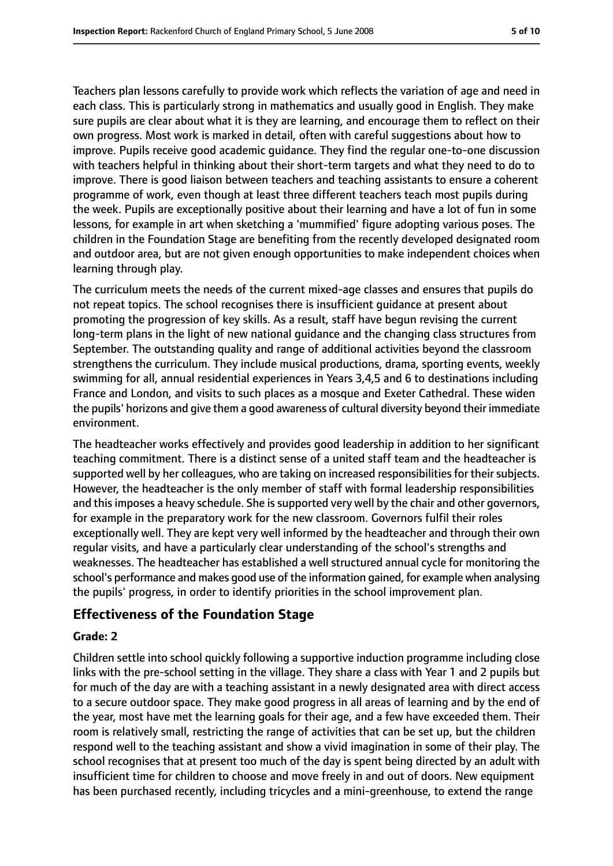Teachers plan lessons carefully to provide work which reflects the variation of age and need in

each class. This is particularly strong in mathematics and usually good in English. They make sure pupils are clear about what it is they are learning, and encourage them to reflect on their own progress. Most work is marked in detail, often with careful suggestions about how to improve. Pupils receive good academic guidance. They find the regular one-to-one discussion with teachers helpful in thinking about their short-term targets and what they need to do to improve. There is good liaison between teachers and teaching assistants to ensure a coherent programme of work, even though at least three different teachers teach most pupils during the week. Pupils are exceptionally positive about their learning and have a lot of fun in some lessons, for example in art when sketching a 'mummified' figure adopting various poses. The children in the Foundation Stage are benefiting from the recently developed designated room and outdoor area, but are not given enough opportunities to make independent choices when learning through play.

The curriculum meets the needs of the current mixed-age classes and ensures that pupils do not repeat topics. The school recognises there is insufficient guidance at present about promoting the progression of key skills. As a result, staff have begun revising the current long-term plans in the light of new national guidance and the changing class structures from September. The outstanding quality and range of additional activities beyond the classroom strengthens the curriculum. They include musical productions, drama, sporting events, weekly swimming for all, annual residential experiences in Years 3,4,5 and 6 to destinations including France and London, and visits to such places as a mosque and Exeter Cathedral. These widen the pupils' horizons and give them a good awareness of cultural diversity beyond their immediate environment.

The headteacher works effectively and provides good leadership in addition to her significant teaching commitment. There is a distinct sense of a united staff team and the headteacher is supported well by her colleagues, who are taking on increased responsibilities for their subjects. However, the headteacher is the only member of staff with formal leadership responsibilities and this imposes a heavy schedule. She is supported very well by the chair and other governors, for example in the preparatory work for the new classroom. Governors fulfil their roles exceptionally well. They are kept very well informed by the headteacher and through their own regular visits, and have a particularly clear understanding of the school's strengths and weaknesses. The headteacher has established a well structured annual cycle for monitoring the school's performance and makes good use of the information gained, for example when analysing the pupils' progress, in order to identify priorities in the school improvement plan.

## **Effectiveness of the Foundation Stage**

#### **Grade: 2**

Children settle into school quickly following a supportive induction programme including close links with the pre-school setting in the village. They share a class with Year 1 and 2 pupils but for much of the day are with a teaching assistant in a newly designated area with direct access to a secure outdoor space. They make good progress in all areas of learning and by the end of the year, most have met the learning goals for their age, and a few have exceeded them. Their room is relatively small, restricting the range of activities that can be set up, but the children respond well to the teaching assistant and show a vivid imagination in some of their play. The school recognises that at present too much of the day is spent being directed by an adult with insufficient time for children to choose and move freely in and out of doors. New equipment has been purchased recently, including tricycles and a mini-greenhouse, to extend the range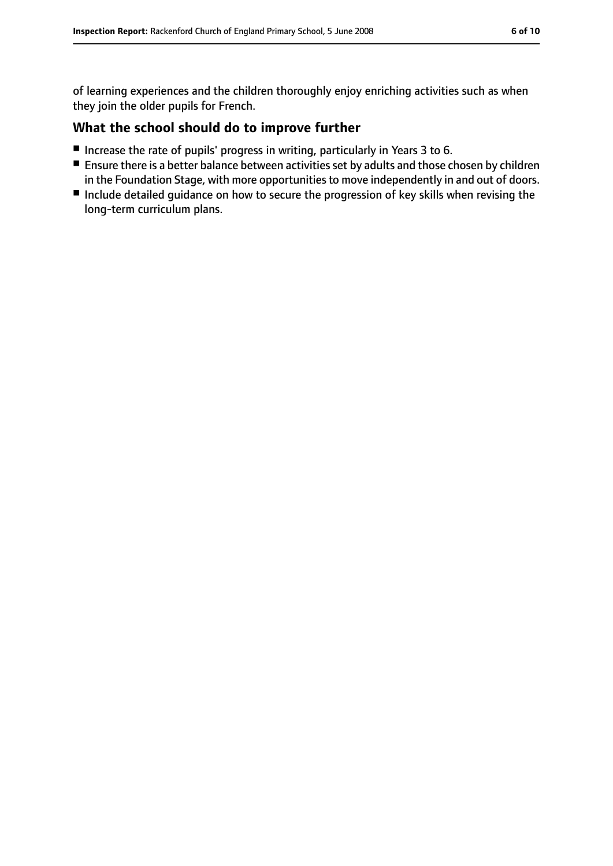of learning experiences and the children thoroughly enjoy enriching activities such as when they join the older pupils for French.

#### **What the school should do to improve further**

- Increase the rate of pupils' progress in writing, particularly in Years 3 to 6.
- Ensure there is a better balance between activities set by adults and those chosen by children in the Foundation Stage, with more opportunities to move independently in and out of doors.
- Include detailed guidance on how to secure the progression of key skills when revising the long-term curriculum plans.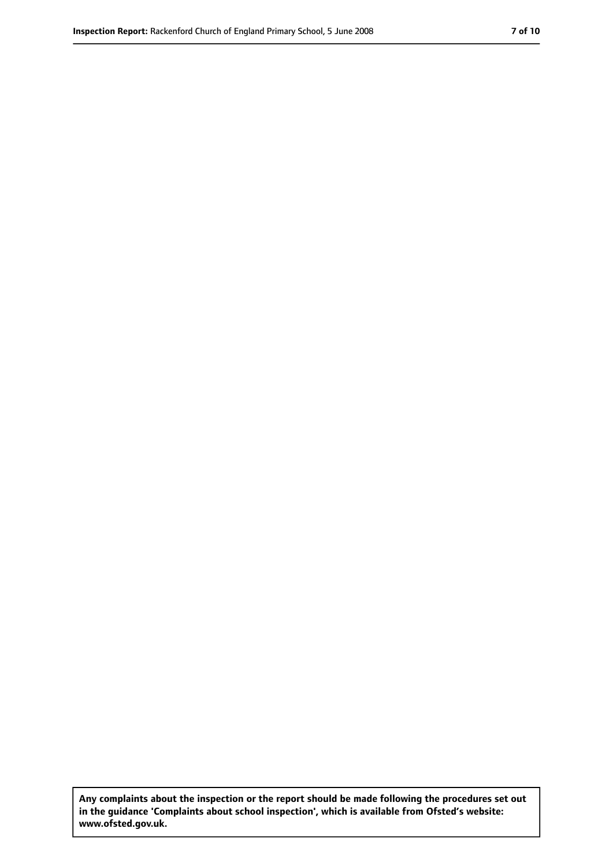**Any complaints about the inspection or the report should be made following the procedures set out in the guidance 'Complaints about school inspection', which is available from Ofsted's website: www.ofsted.gov.uk.**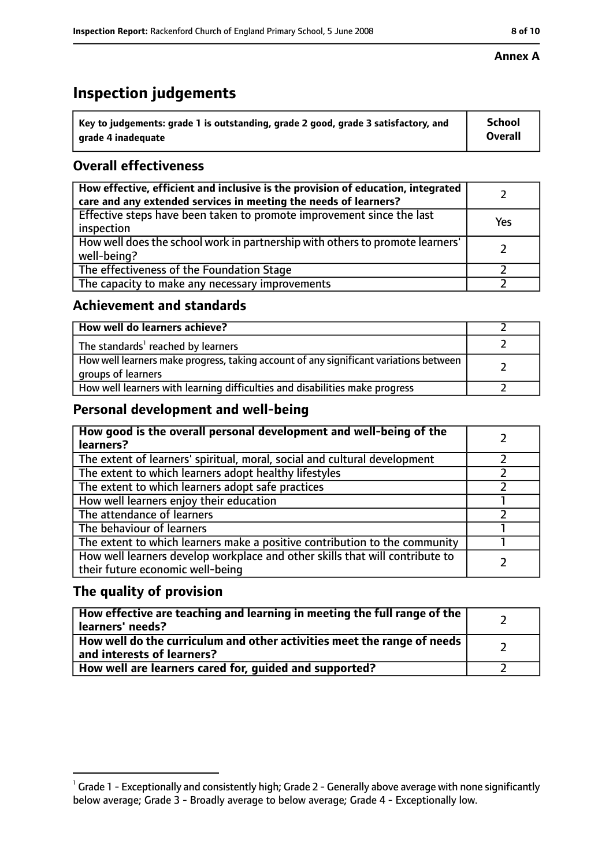# **Inspection judgements**

| $^{\backprime}$ Key to judgements: grade 1 is outstanding, grade 2 good, grade 3 satisfactory, and | <b>School</b>  |
|----------------------------------------------------------------------------------------------------|----------------|
| arade 4 inadeguate                                                                                 | <b>Overall</b> |

#### **Overall effectiveness**

| How effective, efficient and inclusive is the provision of education, integrated<br>care and any extended services in meeting the needs of learners? |     |
|------------------------------------------------------------------------------------------------------------------------------------------------------|-----|
| Effective steps have been taken to promote improvement since the last<br>inspection                                                                  | Yes |
| How well does the school work in partnership with others to promote learners'<br>well-being?                                                         |     |
| The effectiveness of the Foundation Stage                                                                                                            |     |
| The capacity to make any necessary improvements                                                                                                      |     |

#### **Achievement and standards**

| How well do learners achieve?                                                                               |  |
|-------------------------------------------------------------------------------------------------------------|--|
| The standards <sup>1</sup> reached by learners                                                              |  |
| How well learners make progress, taking account of any significant variations between<br>groups of learners |  |
| How well learners with learning difficulties and disabilities make progress                                 |  |

#### **Personal development and well-being**

| How good is the overall personal development and well-being of the<br>learners?                                  |  |
|------------------------------------------------------------------------------------------------------------------|--|
| The extent of learners' spiritual, moral, social and cultural development                                        |  |
| The extent to which learners adopt healthy lifestyles                                                            |  |
| The extent to which learners adopt safe practices                                                                |  |
| How well learners enjoy their education                                                                          |  |
| The attendance of learners                                                                                       |  |
| The behaviour of learners                                                                                        |  |
| The extent to which learners make a positive contribution to the community                                       |  |
| How well learners develop workplace and other skills that will contribute to<br>their future economic well-being |  |

#### **The quality of provision**

| How effective are teaching and learning in meeting the full range of the<br>learners' needs?          |  |
|-------------------------------------------------------------------------------------------------------|--|
| How well do the curriculum and other activities meet the range of needs<br>and interests of learners? |  |
| How well are learners cared for, guided and supported?                                                |  |

#### **Annex A**

 $^1$  Grade 1 - Exceptionally and consistently high; Grade 2 - Generally above average with none significantly below average; Grade 3 - Broadly average to below average; Grade 4 - Exceptionally low.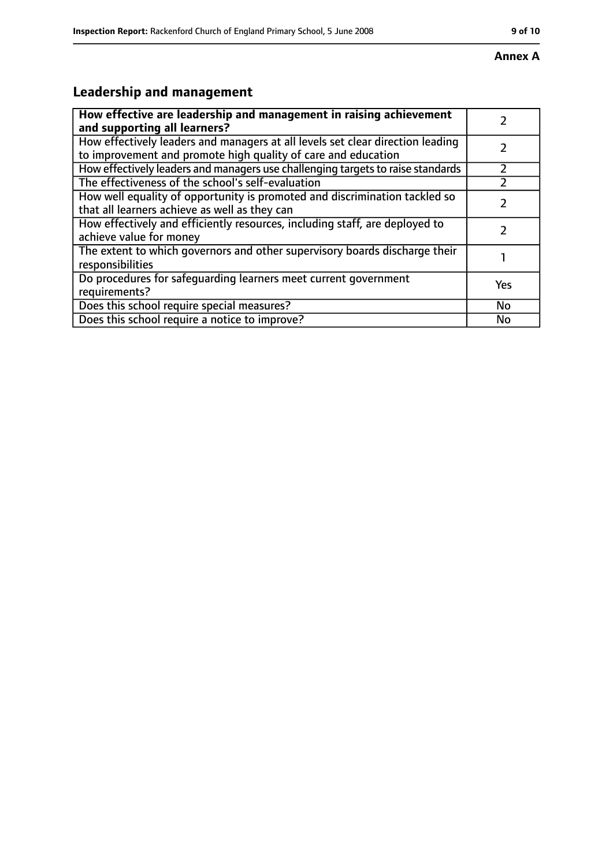#### **Annex A**

# **Leadership and management**

| How effective are leadership and management in raising achievement              |     |
|---------------------------------------------------------------------------------|-----|
| and supporting all learners?                                                    |     |
| How effectively leaders and managers at all levels set clear direction leading  |     |
| to improvement and promote high quality of care and education                   |     |
| How effectively leaders and managers use challenging targets to raise standards |     |
| The effectiveness of the school's self-evaluation                               |     |
| How well equality of opportunity is promoted and discrimination tackled so      |     |
| that all learners achieve as well as they can                                   |     |
| How effectively and efficiently resources, including staff, are deployed to     | 7   |
| achieve value for money                                                         |     |
| The extent to which governors and other supervisory boards discharge their      |     |
| responsibilities                                                                |     |
| Do procedures for safequarding learners meet current government                 | Yes |
| requirements?                                                                   |     |
| Does this school require special measures?                                      | No  |
| Does this school require a notice to improve?                                   | No  |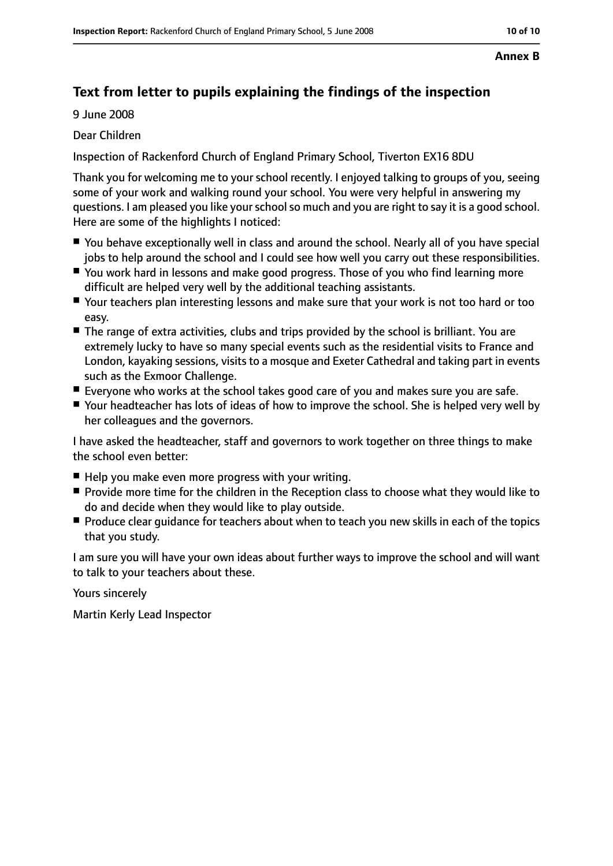#### **Annex B**

## **Text from letter to pupils explaining the findings of the inspection**

9 June 2008

Dear Children

Inspection of Rackenford Church of England Primary School, Tiverton EX16 8DU

Thank you for welcoming me to your school recently. I enjoyed talking to groups of you, seeing some of your work and walking round your school. You were very helpful in answering my questions. I am pleased you like your school so much and you are right to say it is a good school. Here are some of the highlights I noticed:

- You behave exceptionally well in class and around the school. Nearly all of you have special jobs to help around the school and I could see how well you carry out these responsibilities.
- You work hard in lessons and make good progress. Those of you who find learning more difficult are helped very well by the additional teaching assistants.
- Your teachers plan interesting lessons and make sure that your work is not too hard or too easy.
- The range of extra activities, clubs and trips provided by the school is brilliant. You are extremely lucky to have so many special events such as the residential visits to France and London, kayaking sessions, visits to a mosque and Exeter Cathedral and taking part in events such as the Exmoor Challenge.
- Everyone who works at the school takes good care of you and makes sure you are safe.
- Your headteacher has lots of ideas of how to improve the school. She is helped very well by her colleagues and the governors.

I have asked the headteacher, staff and governors to work together on three things to make the school even better:

- Help you make even more progress with your writing.
- Provide more time for the children in the Reception class to choose what they would like to do and decide when they would like to play outside.
- Produce clear guidance for teachers about when to teach you new skills in each of the topics that you study.

I am sure you will have your own ideas about further ways to improve the school and will want to talk to your teachers about these.

Yours sincerely

Martin Kerly Lead Inspector